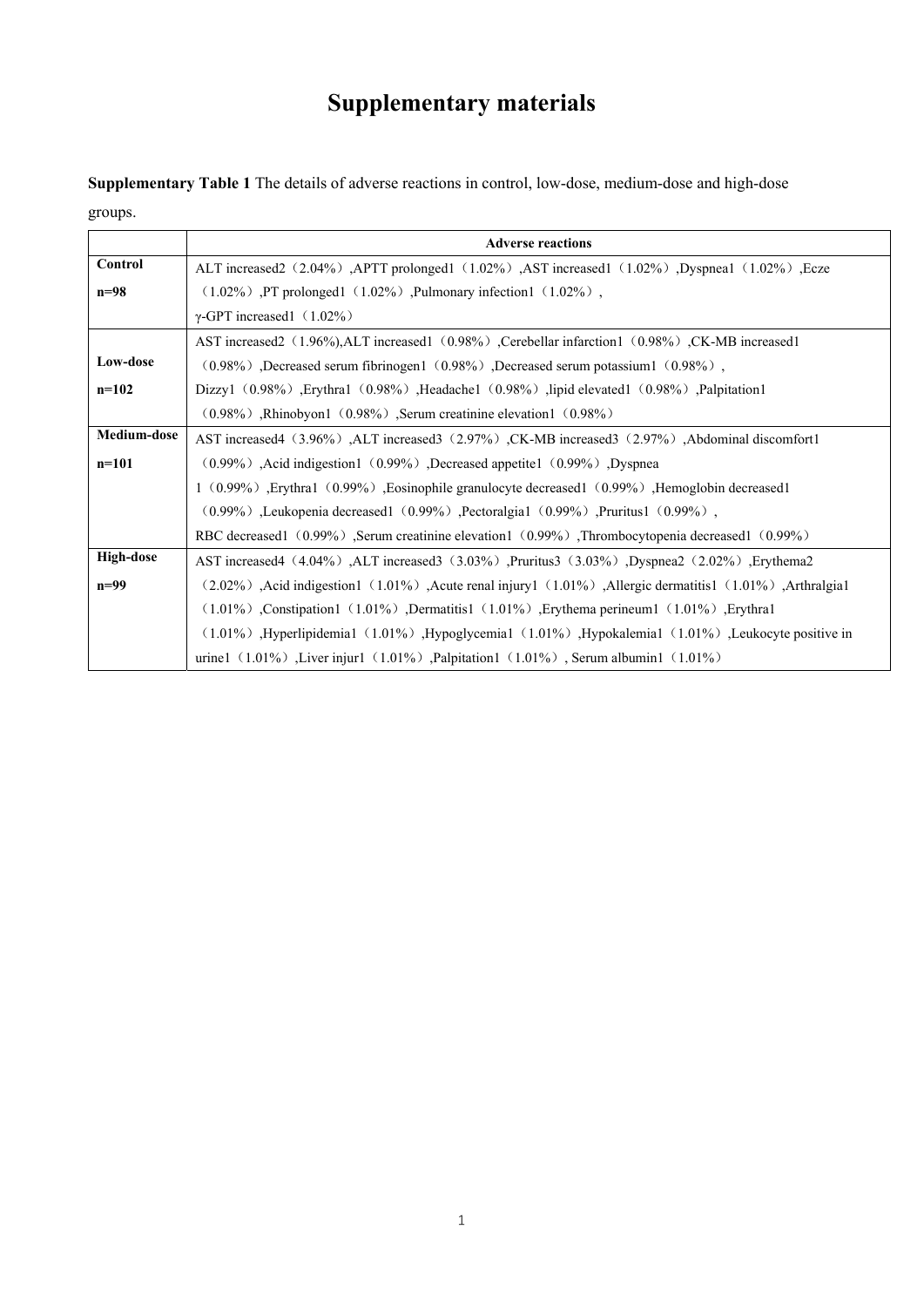## **Supplementary materials**

**Supplementary Table 1** The details of adverse reactions in control, low-dose, medium-dose and high-dose groups.

|                  | <b>Adverse reactions</b>                                                                                                                                                                                                       |
|------------------|--------------------------------------------------------------------------------------------------------------------------------------------------------------------------------------------------------------------------------|
| Control          | ALT increased2 (2.04%), APTT prolonged1 (1.02%), AST increased1 (1.02%), Dyspnea1 (1.02%), Ecze                                                                                                                                |
| n=98             | $(1.02\%)$ , PT prolonged $(1.02\%)$ , Pulmonary infection $(1.02\%)$ ,                                                                                                                                                        |
|                  | $\gamma$ -GPT increased1 (1.02%)                                                                                                                                                                                               |
|                  | AST increased (1.96%), ALT increased (0.98%), Cerebellar infarction 1 (0.98%), CK-MB increased 1                                                                                                                               |
| Low-dose         | $(0.98\%)$ , Decreased serum fibrinogen $(0.98\%)$ , Decreased serum potassium $(0.98\%)$ ,                                                                                                                                    |
| $n=102$          | Dizzy1 $(0.98\%)$ , Erythra1 $(0.98\%)$ , Headache1 $(0.98\%)$ , lipid elevated1 $(0.98\%)$ , Palpitation1                                                                                                                     |
|                  | $(0.98\%)$ , Rhinobyon1 $(0.98\%)$ , Serum creatinine elevation1 $(0.98\%)$                                                                                                                                                    |
| Medium-dose      | AST increased4 (3.96%), ALT increased3 (2.97%), CK-MB increased3 (2.97%), Abdominal discomfort1                                                                                                                                |
| $n=101$          | (0.99%), Acid indigestion 1 (0.99%), Decreased appetite 1 (0.99%), Dyspnea                                                                                                                                                     |
|                  | 1 (0.99%), Erythra1 (0.99%), Eosinophile granulocyte decreased1 (0.99%), Hemoglobin decreased1                                                                                                                                 |
|                  | $(0.99\%)$ , Leukopenia decreased $(0.99\%)$ , Pectoralgia $(0.99\%)$ , Pruritus $(0.99\%)$ ,                                                                                                                                  |
|                  | RBC decreased1 (0.99%), Serum creatinine elevation1 (0.99%), Thrombocytopenia decreased1 (0.99%)                                                                                                                               |
| <b>High-dose</b> | AST increased4 (4.04%), ALT increased3 (3.03%), Pruritus3 (3.03%), Dyspnea2 (2.02%), Erythema2                                                                                                                                 |
| $n=99$           | (1.01%), Arthralgia (1.01%), Acute renal injury (1.01%), Allergic dermatitis (1.01%), Arthralgia (1.01%), Arthralgia (1.01%), Arthralgia (1.01%), Arthralgia (1.01%), Arthralgia (1.01%), Arthralgia (1.01%), Arthralgia (1.01 |
|                  | $(1.01\%)$ , Constipation 1 $(1.01\%)$ , Dermatitis 1 $(1.01\%)$ , Erythema perineum 1 $(1.01\%)$ , Erythra 1                                                                                                                  |
|                  | $(1.01\%)$ , Hyperlipidemia1 $(1.01\%)$ , Hypoglycemia1 $(1.01\%)$ , Hypokalemia1 $(1.01\%)$ , Leukocyte positive in                                                                                                           |
|                  | urine1 $(1.01\%)$ , Liver injur1 $(1.01\%)$ , Palpitation1 $(1.01\%)$ , Serum albumin1 $(1.01\%)$                                                                                                                              |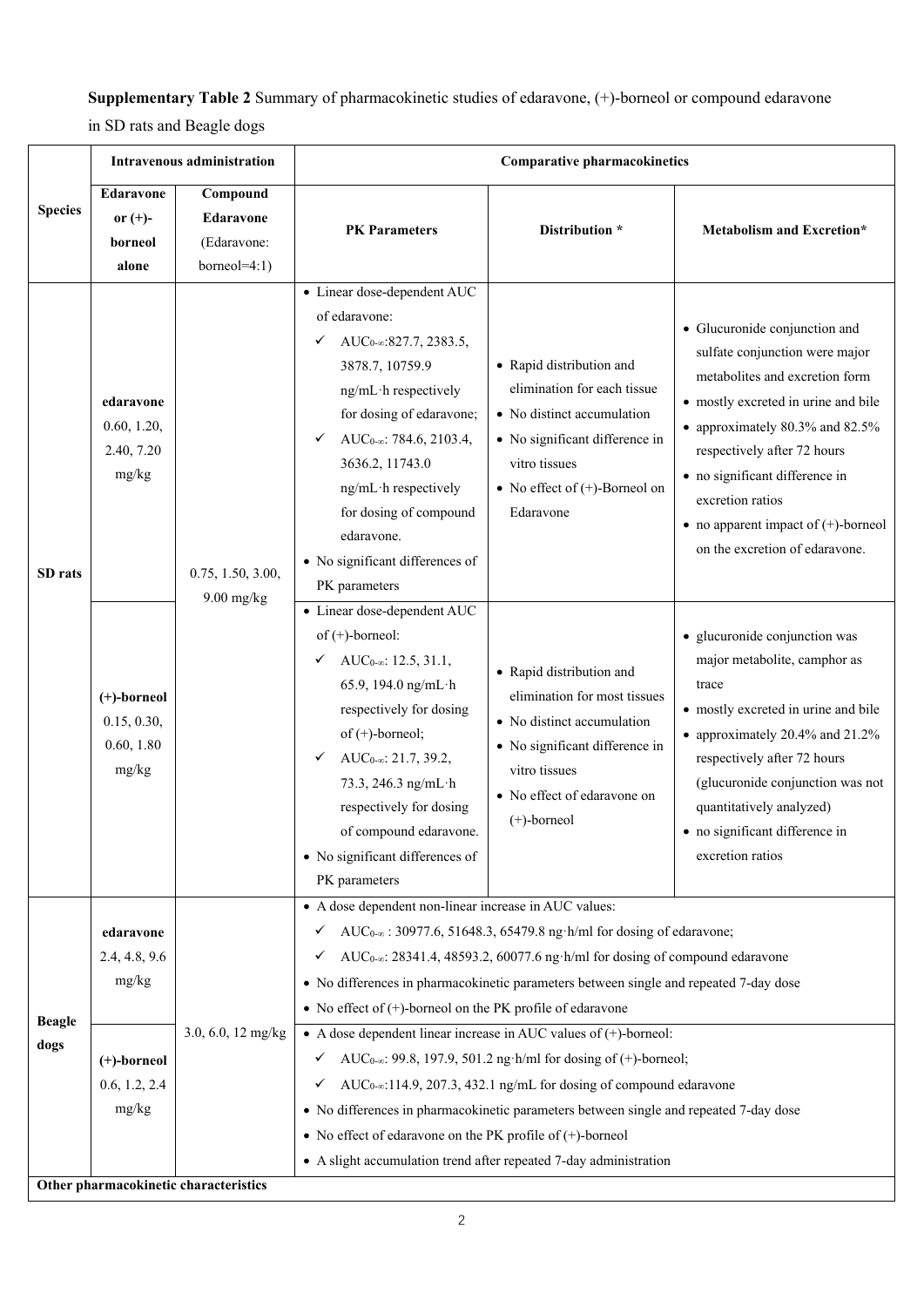## **Supplementary Table 2** Summary of pharmacokinetic studies of edaravone, (+)-borneol or compound edaravone

in SD rats and Beagle dogs

|                       | Intravenous administration                                                   |                                                                 | <b>Comparative pharmacokinetics</b>                                                                                                                                                                                                                                                                                                                                                                                                                                                                                                                                                                                                                                                                                                                                                                                                                                                                                           |                                                                                                                                                                                            |                                                                                                                                                                                                                                                                                                                                              |  |  |  |
|-----------------------|------------------------------------------------------------------------------|-----------------------------------------------------------------|-------------------------------------------------------------------------------------------------------------------------------------------------------------------------------------------------------------------------------------------------------------------------------------------------------------------------------------------------------------------------------------------------------------------------------------------------------------------------------------------------------------------------------------------------------------------------------------------------------------------------------------------------------------------------------------------------------------------------------------------------------------------------------------------------------------------------------------------------------------------------------------------------------------------------------|--------------------------------------------------------------------------------------------------------------------------------------------------------------------------------------------|----------------------------------------------------------------------------------------------------------------------------------------------------------------------------------------------------------------------------------------------------------------------------------------------------------------------------------------------|--|--|--|
| <b>Species</b>        | <b>Edaravone</b><br>or $(+)$ -<br>borneol<br>alone                           | Compound<br><b>Edaravone</b><br>(Edaravone:<br>borneo $l=4:1$ ) | <b>PK</b> Parameters                                                                                                                                                                                                                                                                                                                                                                                                                                                                                                                                                                                                                                                                                                                                                                                                                                                                                                          | Distribution *                                                                                                                                                                             | <b>Metabolism and Excretion*</b>                                                                                                                                                                                                                                                                                                             |  |  |  |
| SD rats               | edaravone<br>0.60, 1.20,<br>2.40, 7.20<br>mg/kg                              | 0.75, 1.50, 3.00,                                               | • Linear dose-dependent AUC<br>of edaravone:<br>AUC <sub>0-∞</sub> :827.7, 2383.5,<br>✓<br>3878.7, 10759.9<br>ng/mL·h respectively<br>for dosing of edaravone;<br>AUC <sub>0-∞</sub> : 784.6, 2103.4,<br>✓<br>3636.2, 11743.0<br>ng/mL·h respectively<br>for dosing of compound<br>edaravone.<br>• No significant differences of<br>PK parameters                                                                                                                                                                                                                                                                                                                                                                                                                                                                                                                                                                             | • Rapid distribution and<br>elimination for each tissue<br>• No distinct accumulation<br>• No significant difference in<br>vitro tissues<br>• No effect of $(+)$ -Borneol on<br>Edaravone  | • Glucuronide conjunction and<br>sulfate conjunction were major<br>metabolites and excretion form<br>• mostly excreted in urine and bile<br>• approximately 80.3% and 82.5%<br>respectively after 72 hours<br>· no significant difference in<br>excretion ratios<br>• no apparent impact of $(+)$ -borneol<br>on the excretion of edaravone. |  |  |  |
|                       | (+)-borneol<br>0.15, 0.30,<br>0.60, 1.80<br>mg/kg                            | $9.00$ mg/kg                                                    | • Linear dose-dependent AUC<br>of $(+)$ -borneol:<br>AUC <sub>0-∞</sub> : 12.5, 31.1,<br>✓<br>65.9, 194.0 ng/mL·h<br>respectively for dosing<br>of $(+)$ -borneol;<br>AU $C_{0-\infty}$ : 21.7, 39.2,<br>✓<br>73.3, 246.3 ng/mL·h<br>respectively for dosing<br>of compound edaravone.<br>• No significant differences of<br>PK parameters                                                                                                                                                                                                                                                                                                                                                                                                                                                                                                                                                                                    | • Rapid distribution and<br>elimination for most tissues<br>• No distinct accumulation<br>• No significant difference in<br>vitro tissues<br>• No effect of edaravone on<br>$(+)$ -borneol | · glucuronide conjunction was<br>major metabolite, camphor as<br>trace<br>• mostly excreted in urine and bile<br>• approximately 20.4% and 21.2%<br>respectively after 72 hours<br>(glucuronide conjunction was not<br>quantitatively analyzed)<br>• no significant difference in<br>excretion ratios                                        |  |  |  |
| <b>Beagle</b><br>dogs | edaravone<br>2.4, 4.8, 9.6<br>mg/kg<br>(+)-borneol<br>0.6, 1.2, 2.4<br>mg/kg | 3.0, 6.0, 12 mg/kg                                              | • A dose dependent non-linear increase in AUC values:<br>AUC <sub>0-∞</sub> : 30977.6, 51648.3, 65479.8 ng·h/ml for dosing of edaravone;<br>✓<br>AUC <sub>0-∞</sub> : 28341.4, 48593.2, 60077.6 ng·h/ml for dosing of compound edaravone<br>✓<br>• No differences in pharmacokinetic parameters between single and repeated 7-day dose<br>• No effect of $(+)$ -borneol on the PK profile of edaravone<br>• A dose dependent linear increase in AUC values of $(+)$ -borneol:<br>AUC <sub>0-<math>\infty</math></sub> : 99.8, 197.9, 501.2 ng·h/ml for dosing of (+)-borneol;<br>$\checkmark$<br>AUC <sub>0-∞</sub> :114.9, 207.3, 432.1 ng/mL for dosing of compound edaravone<br>$\checkmark$<br>• No differences in pharmacokinetic parameters between single and repeated 7-day dose<br>• No effect of edaravone on the PK profile of $(+)$ -borneol<br>• A slight accumulation trend after repeated 7-day administration |                                                                                                                                                                                            |                                                                                                                                                                                                                                                                                                                                              |  |  |  |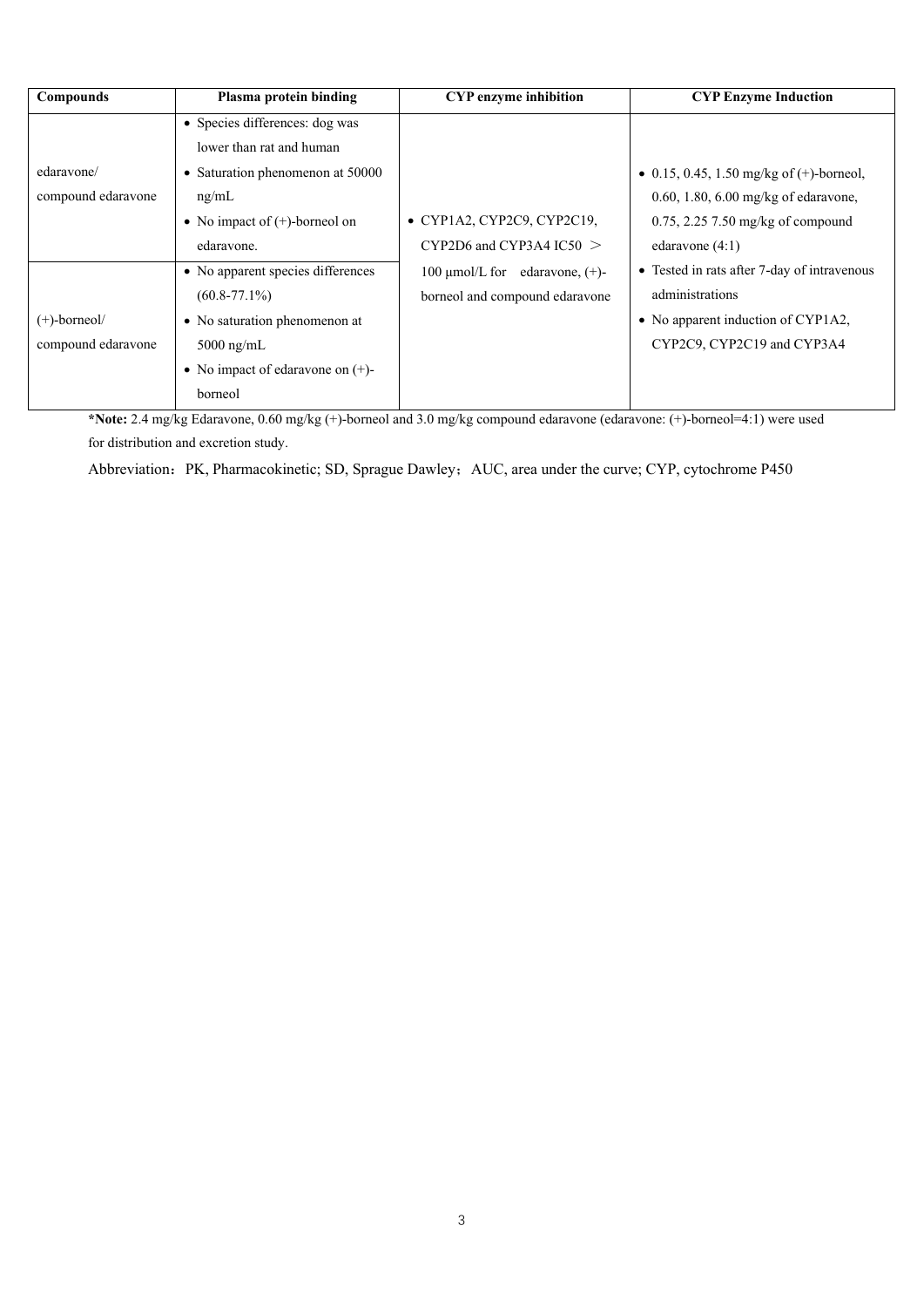| <b>Compounds</b>   | Plasma protein binding              | <b>CYP</b> enzyme inhibition           | <b>CYP Enzyme Induction</b>                 |
|--------------------|-------------------------------------|----------------------------------------|---------------------------------------------|
|                    | • Species differences: dog was      |                                        |                                             |
|                    | lower than rat and human            |                                        |                                             |
| edaravone/         | • Saturation phenomenon at 50000    |                                        | • 0.15, 0.45, 1.50 mg/kg of $(+)$ -borneol, |
| compound edaravone | ng/mL                               |                                        | $0.60$ , 1.80, 6.00 mg/kg of edaravone,     |
|                    | • No impact of $(+)$ -borneol on    | • CYP1A2, CYP2C9, CYP2C19,             | $0.75$ , 2.25 7.50 mg/kg of compound        |
|                    | edaravone.                          | $CYP2D6$ and $CYP3A4$ IC50 $\geq$      | edaravone $(4:1)$                           |
|                    | • No apparent species differences   | 100 $\mu$ mol/L for edaravone, $(+)$ - | • Tested in rats after 7-day of intravenous |
|                    | $(60.8 - 77.1\%)$                   | borneol and compound edaravone         | administrations                             |
| $(+)$ -borneol/    | • No saturation phenomenon at       |                                        | • No apparent induction of CYP1A2,          |
| compound edaravone | $5000$ ng/mL                        |                                        | CYP2C9, CYP2C19 and CYP3A4                  |
|                    | • No impact of edarayone on $(+)$ - |                                        |                                             |
|                    | borneol                             |                                        |                                             |

**\*Note:** 2.4 mg/kg Edaravone, 0.60 mg/kg (+)-borneol and 3.0 mg/kg compound edaravone (edaravone: (+)-borneol=4:1) were used for distribution and excretion study.

Abbreviation: PK, Pharmacokinetic; SD, Sprague Dawley; AUC, area under the curve; CYP, cytochrome P450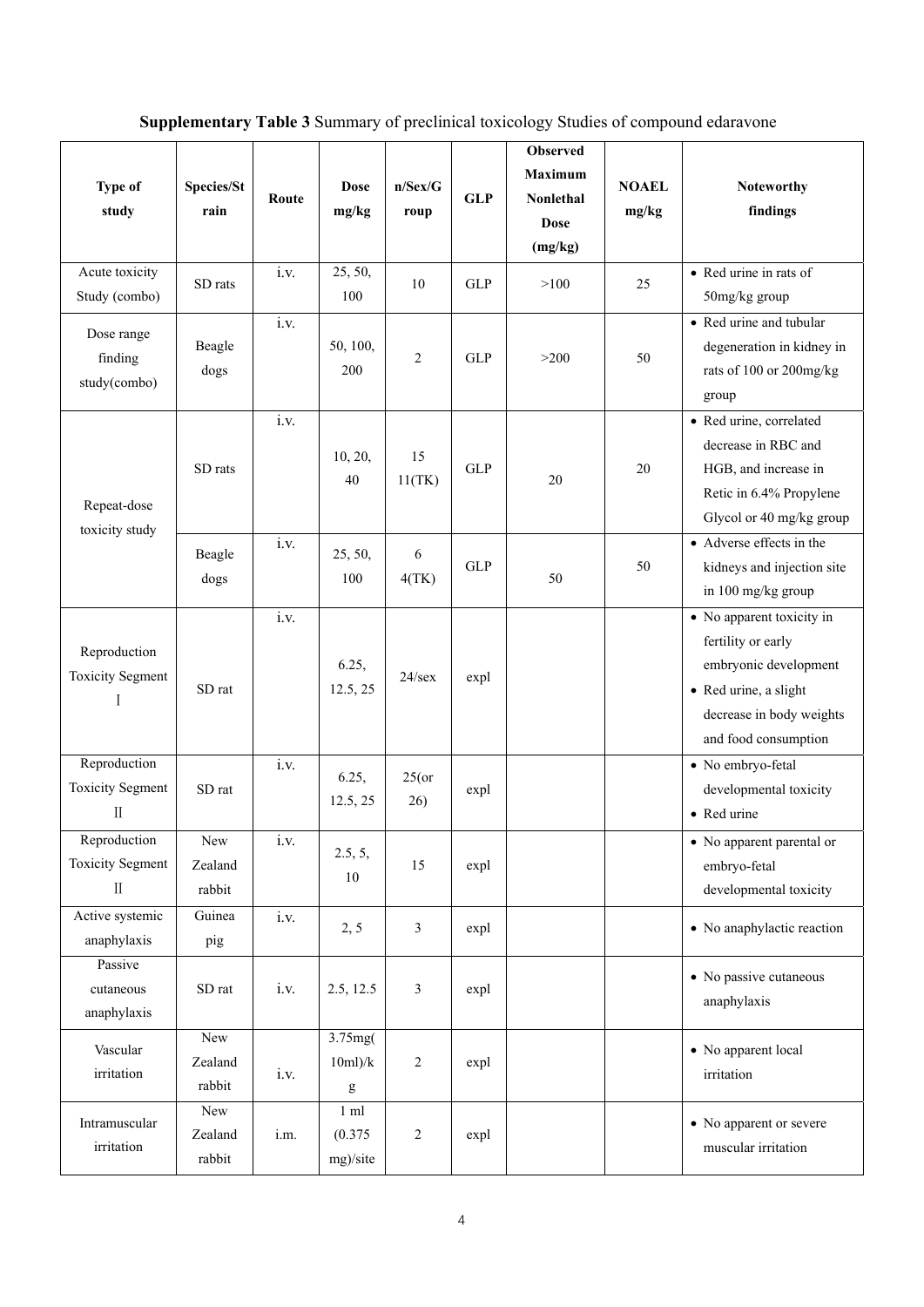## **Supplementary Table 3** Summary of preclinical toxicology Studies of compound edaravone

| <b>Type of</b><br>study                                 | Species/St<br>rain       | Route | <b>Dose</b><br>mg/kg                  | n/Sex/G<br>roup | <b>GLP</b> | Observed<br><b>Maximum</b><br>Nonlethal<br><b>Dose</b><br>(mg/kg) | <b>NOAEL</b><br>mg/kg | <b>Noteworthy</b><br>findings                                                                                                                         |
|---------------------------------------------------------|--------------------------|-------|---------------------------------------|-----------------|------------|-------------------------------------------------------------------|-----------------------|-------------------------------------------------------------------------------------------------------------------------------------------------------|
| Acute toxicity<br>Study (combo)                         | SD rats                  | i.v.  | 25, 50,<br>100                        | 10              | <b>GLP</b> | >100                                                              | 25                    | • Red urine in rats of<br>50mg/kg group                                                                                                               |
| Dose range<br>finding<br>study(combo)                   | Beagle<br>dogs           | i.v.  | 50, 100,<br>200                       | $\mathfrak{2}$  | <b>GLP</b> | >200                                                              | 50                    | • Red urine and tubular<br>degeneration in kidney in<br>rats of 100 or 200mg/kg<br>group                                                              |
| Repeat-dose<br>toxicity study                           | SD rats                  | i.v.  | 10, 20,<br>40                         | 15<br>11(TK)    | <b>GLP</b> | 20                                                                | 20                    | · Red urine, correlated<br>decrease in RBC and<br>HGB, and increase in<br>Retic in 6.4% Propylene<br>Glycol or 40 mg/kg group                         |
|                                                         | Beagle<br>dogs           | i.v.  | 25, 50,<br>100                        | 6<br>4(TK)      | <b>GLP</b> | 50                                                                | 50                    | • Adverse effects in the<br>kidneys and injection site<br>in 100 mg/kg group                                                                          |
| Reproduction<br><b>Toxicity Segment</b>                 | SD rat                   | i.v.  | 6.25,<br>12.5, 25                     | $24$ /sex       | expl       |                                                                   |                       | • No apparent toxicity in<br>fertility or early<br>embryonic development<br>• Red urine, a slight<br>decrease in body weights<br>and food consumption |
| Reproduction<br><b>Toxicity Segment</b><br>$\mathbf{I}$ | SD rat                   | i.v.  | 6.25,<br>12.5, 25                     | $25($ or<br>26) | expl       |                                                                   |                       | • No embryo-fetal<br>developmental toxicity<br>• Red urine                                                                                            |
| Reproduction<br><b>Toxicity Segment</b><br>$\mathbf{I}$ | New<br>Zealand<br>rabbit | 1.V.  | 2.5, 5,<br>10                         | 15              | expl       |                                                                   |                       | • No apparent parental or<br>embryo-fetal<br>developmental toxicity                                                                                   |
| Active systemic<br>anaphylaxis                          | Guinea<br>pig            | i.v.  | 2, 5                                  | 3               | expl       |                                                                   |                       | • No anaphylactic reaction                                                                                                                            |
| Passive<br>cutaneous<br>anaphylaxis                     | SD rat                   | i.v.  | 2.5, 12.5                             | 3               | expl       |                                                                   |                       | • No passive cutaneous<br>anaphylaxis                                                                                                                 |
| Vascular<br>irritation                                  | New<br>Zealand<br>rabbit | i.v.  | 3.75mg(<br>10ml/k<br>g                | $\mathbf{2}$    | expl       |                                                                   |                       | • No apparent local<br>irritation                                                                                                                     |
| Intramuscular<br>irritation                             | New<br>Zealand<br>rabbit | i.m.  | $1 \text{ ml}$<br>(0.375)<br>mg)/site | $\sqrt{2}$      | expl       |                                                                   |                       | • No apparent or severe<br>muscular irritation                                                                                                        |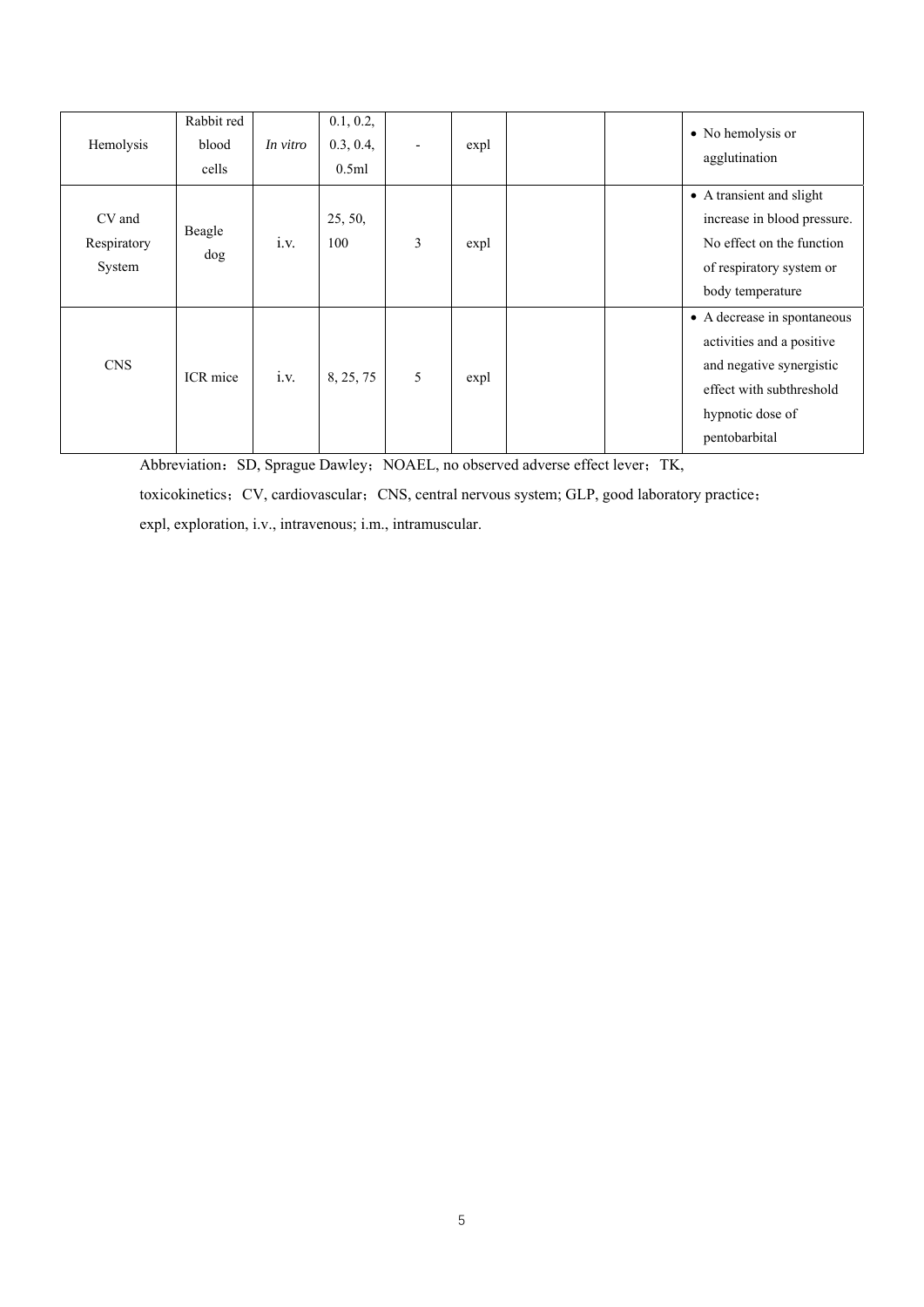| Hemolysis                       | Rabbit red<br>blood<br>cells | In vitro | 0.1, 0.2,<br>0.3, 0.4,<br>0.5ml | $\overline{\phantom{a}}$ | expl |  | • No hemolysis or<br>agglutination                                                                                                                    |
|---------------------------------|------------------------------|----------|---------------------------------|--------------------------|------|--|-------------------------------------------------------------------------------------------------------------------------------------------------------|
| CV and<br>Respiratory<br>System | Beagle<br>dog                | i.v.     | 25, 50,<br>100                  | 3                        | expl |  | • A transient and slight<br>increase in blood pressure.<br>No effect on the function<br>of respiratory system or<br>body temperature                  |
| <b>CNS</b>                      | ICR mice                     | i.v.     | 8, 25, 75                       | 5                        | expl |  | • A decrease in spontaneous<br>activities and a positive<br>and negative synergistic<br>effect with subthreshold<br>hypnotic dose of<br>pentobarbital |

Abbreviation: SD, Sprague Dawley; NOAEL, no observed adverse effect lever; TK,

toxicokinetics; CV, cardiovascular; CNS, central nervous system; GLP, good laboratory practice; expl, exploration, i.v., intravenous; i.m., intramuscular.